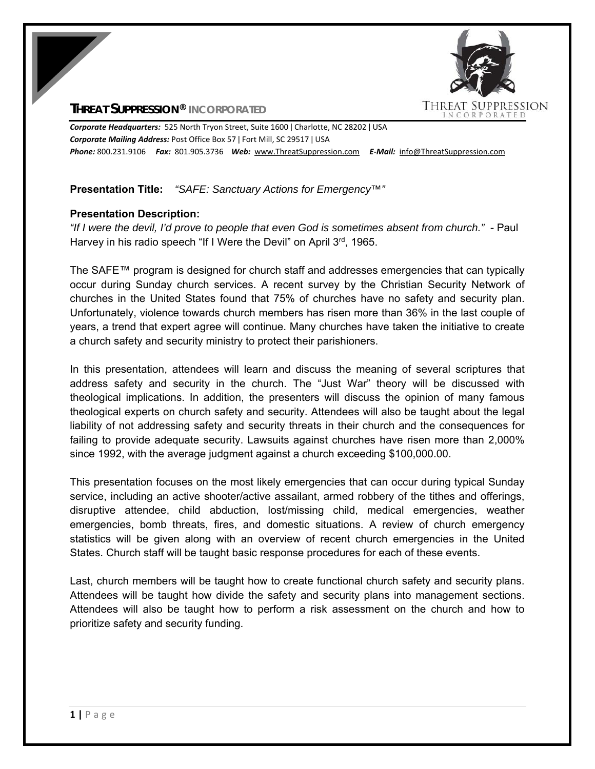

## **THREAT SUPPRESSION® INCORPORATED**

*Corporate Headquarters:* 525 North Tryon Street, Suite 1600 ǀ Charlotte, NC 28202 ǀ USA *Corporate Mailing Address:* Post Office Box 57 ǀ Fort Mill, SC 29517 ǀ USA *Phone:* 800.231.9106  *Fax:* 801.905.3736 *Web:* www.ThreatSuppression.com *E‐Mail:*  info@ThreatSuppression.com

## **Presentation Title:** *"SAFE: Sanctuary Actions for Emergency™"*

## **Presentation Description:**

*"If I were the devil, I'd prove to people that even God is sometimes absent from church."* - Paul Harvey in his radio speech "If I Were the Devil" on April 3rd, 1965.

The SAFE™ program is designed for church staff and addresses emergencies that can typically occur during Sunday church services. A recent survey by the Christian Security Network of churches in the United States found that 75% of churches have no safety and security plan. Unfortunately, violence towards church members has risen more than 36% in the last couple of years, a trend that expert agree will continue. Many churches have taken the initiative to create a church safety and security ministry to protect their parishioners.

In this presentation, attendees will learn and discuss the meaning of several scriptures that address safety and security in the church. The "Just War" theory will be discussed with theological implications. In addition, the presenters will discuss the opinion of many famous theological experts on church safety and security. Attendees will also be taught about the legal liability of not addressing safety and security threats in their church and the consequences for failing to provide adequate security. Lawsuits against churches have risen more than 2,000% since 1992, with the average judgment against a church exceeding \$100,000.00.

This presentation focuses on the most likely emergencies that can occur during typical Sunday service, including an active shooter/active assailant, armed robbery of the tithes and offerings, disruptive attendee, child abduction, lost/missing child, medical emergencies, weather emergencies, bomb threats, fires, and domestic situations. A review of church emergency statistics will be given along with an overview of recent church emergencies in the United States. Church staff will be taught basic response procedures for each of these events.

Last, church members will be taught how to create functional church safety and security plans. Attendees will be taught how divide the safety and security plans into management sections. Attendees will also be taught how to perform a risk assessment on the church and how to prioritize safety and security funding.